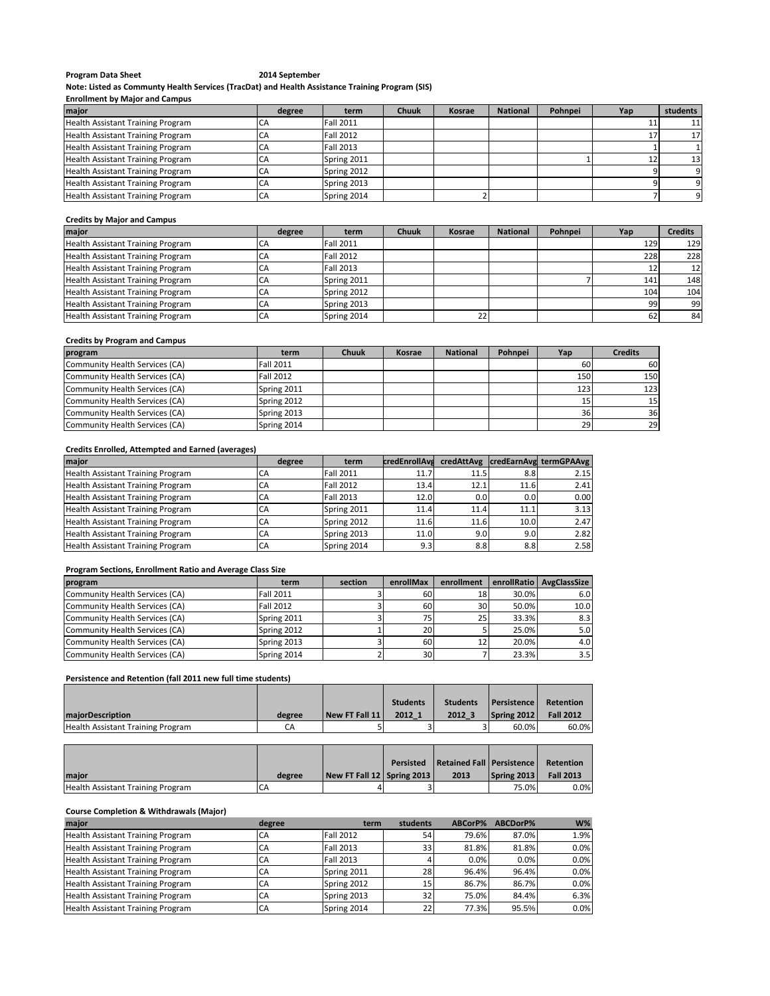## Program Data Sheet 2014 September

**Note: Listed as Communty Health Services (TracDat) and Health Assistance Training Program (SIS)**

### **Enrollment by Major and Campus**

| major                             | degree | term        | <b>Chuuk</b> | Kosrae | <b>National</b> | Pohnpei | Yap | students |
|-----------------------------------|--------|-------------|--------------|--------|-----------------|---------|-----|----------|
| Health Assistant Training Program |        | Fall 2011   |              |        |                 |         |     | 11       |
| Health Assistant Training Program | CA.    | Fall 2012   |              |        |                 |         |     | 17       |
| Health Assistant Training Program | CА     | Fall 2013   |              |        |                 |         |     |          |
| Health Assistant Training Program | СA     | Spring 2011 |              |        |                 |         |     | 13       |
| Health Assistant Training Program | СA     | Spring 2012 |              |        |                 |         |     |          |
| Health Assistant Training Program |        | Spring 2013 |              |        |                 |         |     |          |
| Health Assistant Training Program | СA     | Spring 2014 |              |        |                 |         |     | ി        |

#### **Credits by Major and Campus**

| <b>major</b>                      | degree | term             | Chuuk | <b>Kosrae</b> | <b>National</b> | Pohnpei | Yap | <b>Credits</b> |
|-----------------------------------|--------|------------------|-------|---------------|-----------------|---------|-----|----------------|
| Health Assistant Training Program | СA     | <b>Fall 2011</b> |       |               |                 |         | 129 | 129            |
| Health Assistant Training Program | СA     | <b>Fall 2012</b> |       |               |                 |         | 228 | 228            |
| Health Assistant Training Program | CА     | <b>Fall 2013</b> |       |               |                 |         |     | 12             |
| Health Assistant Training Program | СA     | Spring 2011      |       |               |                 |         | 141 | 148            |
| Health Assistant Training Program | CА     | Spring 2012      |       |               |                 |         | 104 | 104            |
| Health Assistant Training Program | CA     | Spring 2013      |       |               |                 |         | 99  | 99             |
| Health Assistant Training Program | СA     | Spring 2014      |       |               |                 |         |     | 84             |

# **Credits by Program and Campus**

| program                        | term             | <b>Chuuk</b> | Kosrae | <b>National</b> | Pohnpei | Yap | <b>Credits</b> |
|--------------------------------|------------------|--------------|--------|-----------------|---------|-----|----------------|
| Community Health Services (CA) | <b>Fall 2011</b> |              |        |                 |         | 60  | 60             |
| Community Health Services (CA) | Fall 2012        |              |        |                 |         | 150 | 150            |
| Community Health Services (CA) | Spring 2011      |              |        |                 |         | 123 | 123            |
| Community Health Services (CA) | Spring 2012      |              |        |                 |         |     | 15             |
| Community Health Services (CA) | Spring 2013      |              |        |                 |         | 36  | 36             |
| Community Health Services (CA) | Spring 2014      |              |        |                 |         | 29  | 29             |

## **Credits Enrolled, Attempted and Earned (averages)**

| major                             | degree | term             | <b>credEnrollAva</b> |                  |      | credAttAvg credEarnAvg termGPAAvg |
|-----------------------------------|--------|------------------|----------------------|------------------|------|-----------------------------------|
| Health Assistant Training Program | CA     | <b>Fall 2011</b> | 11.7                 | 11.5             | 8.8  | 2.15                              |
| Health Assistant Training Program | CA     | <b>Fall 2012</b> | 13.4                 | 12.1             | 11.6 | 2.41                              |
| Health Assistant Training Program | CA     | <b>Fall 2013</b> | 12.0                 | 0.0 <sub>l</sub> | 0.0  | 0.00                              |
| Health Assistant Training Program | CA     | Spring 2011      | 11.4                 | 11.4             | 11.1 | 3.13                              |
| Health Assistant Training Program | CA     | Spring 2012      | 11.6                 | 11.6             | 10.0 | 2.47                              |
| Health Assistant Training Program | CA     | Spring 2013      | 11.0                 | 9.0              | 9.0  | 2.82                              |
| Health Assistant Training Program | CA     | Spring 2014      | 9.3                  | 8.8              | 8.8  | 2.58                              |

# **Program Sections, Enrollment Ratio and Average Class Size**

| program                        | term             | section | enrollMax       | enrollment      |       | enrollRatio AvgClassSize |
|--------------------------------|------------------|---------|-----------------|-----------------|-------|--------------------------|
| Community Health Services (CA) | <b>Fall 2011</b> |         | 60              | 18              | 30.0% | 6.0                      |
| Community Health Services (CA) | <b>Fall 2012</b> |         | 60              | 30              | 50.0% | 10.0                     |
| Community Health Services (CA) | Spring 2011      |         | 75              | 25 <sub>l</sub> | 33.3% | 8.3                      |
| Community Health Services (CA) | Spring 2012      |         | <b>20</b>       |                 | 25.0% | 5.0                      |
| Community Health Services (CA) | Spring 2013      |         | 60              | 12              | 20.0% | 4.0                      |
| Community Health Services (CA) | Spring 2014      |         | 30 <sup>1</sup> |                 | 23.3% | 3.5                      |

# **Persistence and Retention (fall 2011 new full time students)**

|                                   |        |                | <b>Students</b> | <b>Students</b> | <b>Persistence</b> | <b>Retention</b> |
|-----------------------------------|--------|----------------|-----------------|-----------------|--------------------|------------------|
| <b>majorDescription</b>           | degree | New FT Fall 11 | 2012 1          | 2012 3          | Spring 2012        | <b>Fall 2012</b> |
| Health Assistant Training Program | СA     |                |                 |                 | 60.0%              | 60.0%            |

|                                   |        |                            | Persisted Retained Fall Persistence |             | Retention        |
|-----------------------------------|--------|----------------------------|-------------------------------------|-------------|------------------|
| <b>Imaior</b>                     | degree | New FT Fall 12 Spring 2013 | 2013                                | Spring 2013 | <b>Fall 2013</b> |
| Health Assistant Training Program | CА     |                            |                                     | 75.0%       | $0.0\%$          |

# **Course Completion & Withdrawals (Major)**

| major                                    | degree | term             | students | ABCorP% | ABCDorP% | $W\%$ |
|------------------------------------------|--------|------------------|----------|---------|----------|-------|
| Health Assistant Training Program        | CA     | <b>Fall 2012</b> | 54       | 79.6%   | 87.0%    | 1.9%  |
| Health Assistant Training Program        | CA     | <b>Fall 2013</b> | 33       | 81.8%   | 81.8%    | 0.0%  |
| <b>Health Assistant Training Program</b> | СA     | <b>Fall 2013</b> |          | 0.0%    | 0.0%     | 0.0%  |
| Health Assistant Training Program        | CA     | Spring 2011      | 28       | 96.4%   | 96.4%    | 0.0%  |
| <b>Health Assistant Training Program</b> | CA     | Spring 2012      | 15       | 86.7%   | 86.7%    | 0.0%  |
| Health Assistant Training Program        | CA     | Spring 2013      | 32       | 75.0%   | 84.4%    | 6.3%  |
| <b>Health Assistant Training Program</b> | CA     | Spring 2014      | 221      | 77.3%   | 95.5%    | 0.0%  |